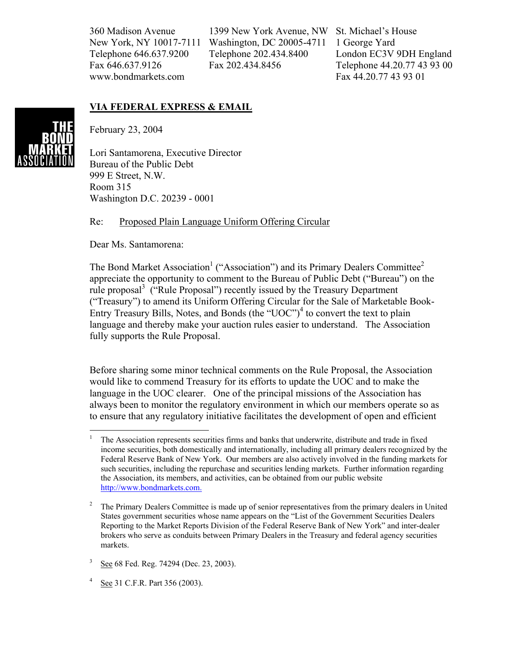360 Madison Avenue New York, NY 10017-7111 Telephone 646.637.9200 Fax 646.637.9126 www.bondmarkets.com

1399 New York Avenue, NW Washington, DC 20005-4711 Telephone 202.434.8400 Fax 202.434.8456

St. Michael's House 1 George Yard London EC3V 9DH England Telephone 44.20.77 43 93 00 Fax 44.20.77 43 93 01

## **VIA FEDERAL EXPRESS & EMAIL**



February 23, 2004

Lori Santamorena, Executive Director Bureau of the Public Debt 999 E Street, N.W. Room 315 Washington D.C. 20239 - 0001

## Re: Proposed Plain Language Uniform Offering Circular

Dear Ms. Santamorena:

 $\overline{a}$ 

The Bond Market Association<sup>1</sup> ("Association") and its Primary Dealers Committee<sup>2</sup> appreciate the opportunity to comment to the Bureau of Public Debt ("Bureau") on the rule proposal<sup>3</sup> ("Rule Proposal") recently issued by the Treasury Department ("Treasury") to amend its Uniform Offering Circular for the Sale of Marketable Book-Entry Treasury Bills, Notes, and Bonds (the "UOC")<sup>4</sup> to convert the text to plain language and thereby make your auction rules easier to understand. The Association fully supports the Rule Proposal.

Before sharing some minor technical comments on the Rule Proposal, the Association would like to commend Treasury for its efforts to update the UOC and to make the language in the UOC clearer. One of the principal missions of the Association has always been to monitor the regulatory environment in which our members operate so as to ensure that any regulatory initiative facilitates the development of open and efficient

<sup>1</sup> The Association represents securities firms and banks that underwrite, distribute and trade in fixed income securities, both domestically and internationally, including all primary dealers recognized by the Federal Reserve Bank of New York. Our members are also actively involved in the funding markets for such securities, including the repurchase and securities lending markets. Further information regarding the Association, its members, and activities, can be obtained from our public website http://www.bondmarkets.com.

<sup>2</sup> The Primary Dealers Committee is made up of senior representatives from the primary dealers in United States government securities whose name appears on the "List of the Government Securities Dealers Reporting to the Market Reports Division of the Federal Reserve Bank of New York" and inter-dealer brokers who serve as conduits between Primary Dealers in the Treasury and federal agency securities markets.

<sup>3</sup> See 68 Fed. Reg. 74294 (Dec. 23, 2003).

<sup>4</sup> See 31 C.F.R. Part 356 (2003).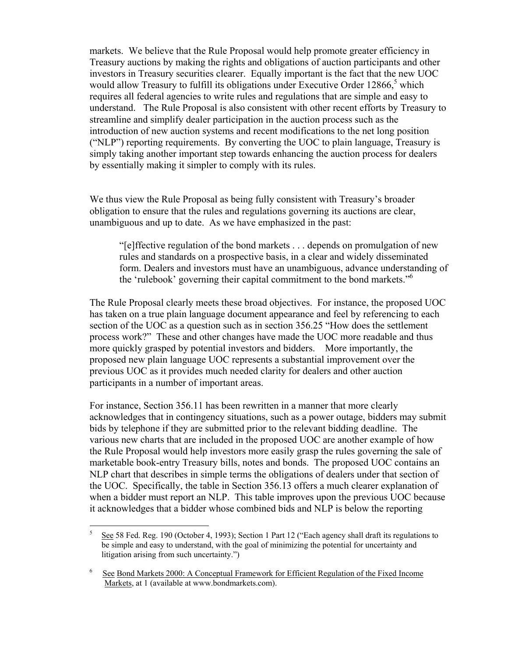markets. We believe that the Rule Proposal would help promote greater efficiency in Treasury auctions by making the rights and obligations of auction participants and other investors in Treasury securities clearer. Equally important is the fact that the new UOC would allow Treasury to fulfill its obligations under Executive Order 12866,<sup>5</sup> which requires all federal agencies to write rules and regulations that are simple and easy to understand. The Rule Proposal is also consistent with other recent efforts by Treasury to streamline and simplify dealer participation in the auction process such as the introduction of new auction systems and recent modifications to the net long position ("NLP") reporting requirements. By converting the UOC to plain language, Treasury is simply taking another important step towards enhancing the auction process for dealers by essentially making it simpler to comply with its rules.

We thus view the Rule Proposal as being fully consistent with Treasury's broader obligation to ensure that the rules and regulations governing its auctions are clear, unambiguous and up to date. As we have emphasized in the past:

"[e]ffective regulation of the bond markets . . . depends on promulgation of new rules and standards on a prospective basis, in a clear and widely disseminated form. Dealers and investors must have an unambiguous, advance understanding of the 'rulebook' governing their capital commitment to the bond markets."6

The Rule Proposal clearly meets these broad objectives. For instance, the proposed UOC has taken on a true plain language document appearance and feel by referencing to each section of the UOC as a question such as in section 356.25 "How does the settlement process work?" These and other changes have made the UOC more readable and thus more quickly grasped by potential investors and bidders. More importantly, the proposed new plain language UOC represents a substantial improvement over the previous UOC as it provides much needed clarity for dealers and other auction participants in a number of important areas.

For instance, Section 356.11 has been rewritten in a manner that more clearly acknowledges that in contingency situations, such as a power outage, bidders may submit bids by telephone if they are submitted prior to the relevant bidding deadline. The various new charts that are included in the proposed UOC are another example of how the Rule Proposal would help investors more easily grasp the rules governing the sale of marketable book-entry Treasury bills, notes and bonds. The proposed UOC contains an NLP chart that describes in simple terms the obligations of dealers under that section of the UOC. Specifically, the table in Section 356.13 offers a much clearer explanation of when a bidder must report an NLP. This table improves upon the previous UOC because it acknowledges that a bidder whose combined bids and NLP is below the reporting

 $\frac{1}{5}$  See 58 Fed. Reg. 190 (October 4, 1993); Section 1 Part 12 ("Each agency shall draft its regulations to be simple and easy to understand, with the goal of minimizing the potential for uncertainty and litigation arising from such uncertainty.")

<sup>6</sup> See Bond Markets 2000: A Conceptual Framework for Efficient Regulation of the Fixed Income Markets, at 1 (available at www.bondmarkets.com).